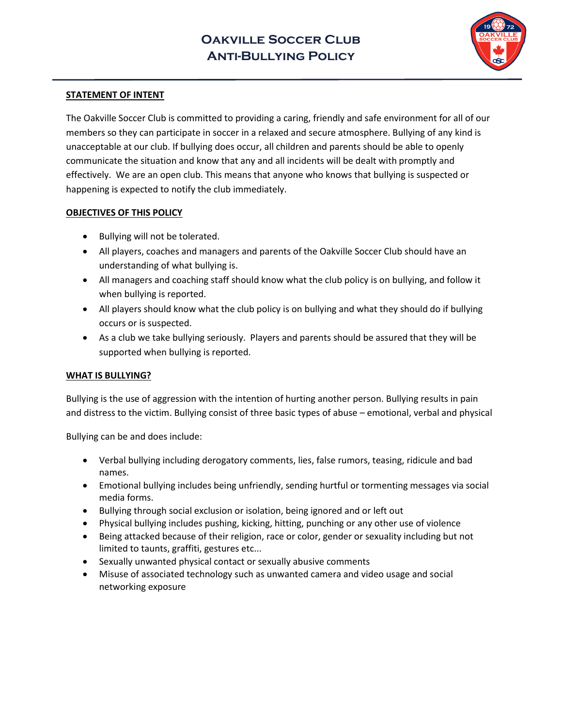

## **STATEMENT OF INTENT**

The Oakville Soccer Club is committed to providing a caring, friendly and safe environment for all of our members so they can participate in soccer in a relaxed and secure atmosphere. Bullying of any kind is unacceptable at our club. If bullying does occur, all children and parents should be able to openly communicate the situation and know that any and all incidents will be dealt with promptly and effectively. We are an open club. This means that anyone who knows that bullying is suspected or happening is expected to notify the club immediately.

#### **OBJECTIVES OF THIS POLICY**

- Bullying will not be tolerated.
- All players, coaches and managers and parents of the Oakville Soccer Club should have an understanding of what bullying is.
- All managers and coaching staff should know what the club policy is on bullying, and follow it when bullying is reported.
- All players should know what the club policy is on bullying and what they should do if bullying occurs or is suspected.
- As a club we take bullying seriously. Players and parents should be assured that they will be supported when bullying is reported.

### **WHAT IS BULLYING?**

Bullying is the use of aggression with the intention of hurting another person. Bullying results in pain and distress to the victim. Bullying consist of three basic types of abuse – emotional, verbal and physical

Bullying can be and does include:

- Verbal bullying including derogatory comments, lies, false rumors, teasing, ridicule and bad names.
- Emotional bullying includes being unfriendly, sending hurtful or tormenting messages via social media forms.
- Bullying through social exclusion or isolation, being ignored and or left out
- Physical bullying includes pushing, kicking, hitting, punching or any other use of violence
- Being attacked because of their religion, race or color, gender or sexuality including but not limited to taunts, graffiti, gestures etc...
- Sexually unwanted physical contact or sexually abusive comments
- Misuse of associated technology such as unwanted camera and video usage and social networking exposure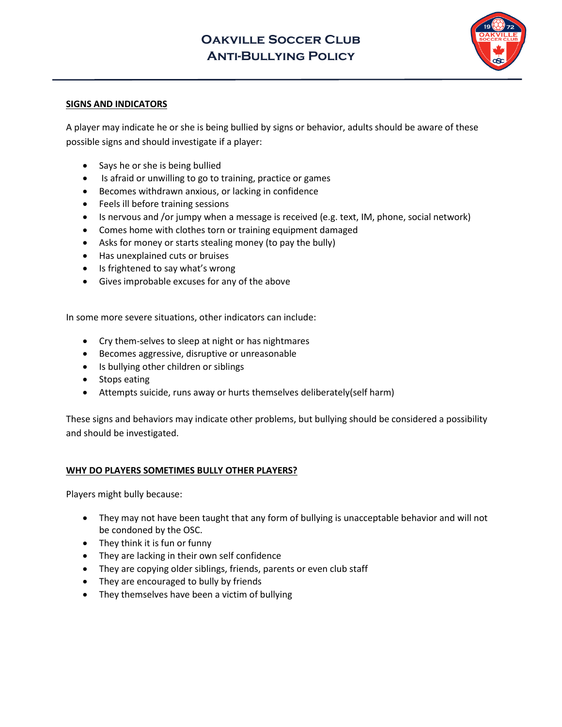# **Oakville Soccer Club Anti-Bullying Policy**



### **SIGNS AND INDICATORS**

A player may indicate he or she is being bullied by signs or behavior, adults should be aware of these possible signs and should investigate if a player:

- Says he or she is being bullied
- Is afraid or unwilling to go to training, practice or games
- Becomes withdrawn anxious, or lacking in confidence
- Feels ill before training sessions
- Is nervous and /or jumpy when a message is received (e.g. text, IM, phone, social network)
- Comes home with clothes torn or training equipment damaged
- Asks for money or starts stealing money (to pay the bully)
- Has unexplained cuts or bruises
- Is frightened to say what's wrong
- Gives improbable excuses for any of the above

In some more severe situations, other indicators can include:

- Cry them-selves to sleep at night or has nightmares
- Becomes aggressive, disruptive or unreasonable
- Is bullying other children or siblings
- Stops eating
- Attempts suicide, runs away or hurts themselves deliberately(self harm)

These signs and behaviors may indicate other problems, but bullying should be considered a possibility and should be investigated.

### **WHY DO PLAYERS SOMETIMES BULLY OTHER PLAYERS?**

Players might bully because:

- They may not have been taught that any form of bullying is unacceptable behavior and will not be condoned by the OSC.
- They think it is fun or funny
- They are lacking in their own self confidence
- They are copying older siblings, friends, parents or even club staff
- They are encouraged to bully by friends
- They themselves have been a victim of bullying